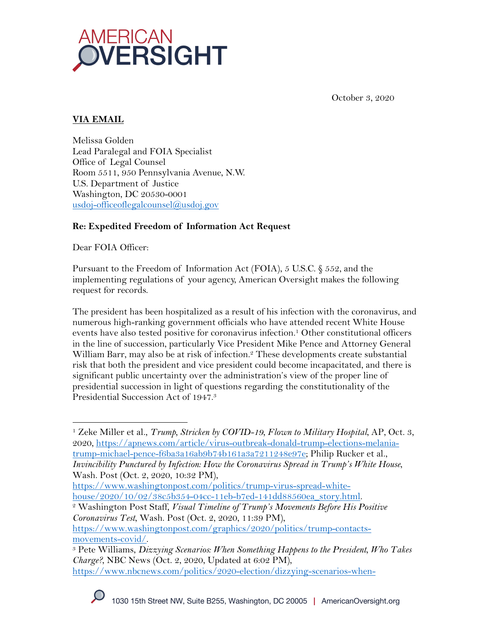

October 3, 2020

## **VIA EMAIL**

Melissa Golden Lead Paralegal and FOIA Specialist Office of Legal Counsel Room 5511, 950 Pennsylvania Avenue, N.W. U.S. Department of Justice Washington, DC 20530-0001 usdoj-officeoflegalcounsel@usdoj.gov

### **Re: Expedited Freedom of Information Act Request**

Dear FOIA Officer:

Pursuant to the Freedom of Information Act (FOIA), 5 U.S.C. § 552, and the implementing regulations of your agency, American Oversight makes the following request for records.

The president has been hospitalized as a result of his infection with the coronavirus, and numerous high-ranking government officials who have attended recent White House events have also tested positive for coronavirus infection.1 Other constitutional officers in the line of succession, particularly Vice President Mike Pence and Attorney General William Barr, may also be at risk of infection.<sup>2</sup> These developments create substantial risk that both the president and vice president could become incapacitated, and there is significant public uncertainty over the administration's view of the proper line of presidential succession in light of questions regarding the constitutionality of the Presidential Succession Act of 1947.3

https://www.washingtonpost.com/politics/trump-virus-spread-white-

house/2020/10/02/38c5b354-04cc-11eb-b7ed-141dd88560ea\_story.html. 2 Washington Post Staff, *Visual Timeline of Trump's Movements Before His Positive Coronavirus Test*, Wash. Post (Oct. 2, 2020, 11:39 PM),

https://www.washingtonpost.com/graphics/2020/politics/trump-contactsmovements-covid/. 3 Pete Williams, *Dizzying Scenarios: When Something Happens to the President, Who Takes* 

<sup>1</sup> Zeke Miller et al., *Trump, Stricken by COVID-19, Flown to Military Hospital*, AP, Oct. 3, 2020, https://apnews.com/article/virus-outbreak-donald-trump-elections-melaniatrump-michael-pence-f6ba3a16ab9b74b161a3a7211248e97e; Philip Rucker et al., *Invincibility Punctured by Infection: How the Coronavirus Spread in Trump's White House*, Wash. Post (Oct. 2, 2020, 10:32 PM),

*Charge?*, NBC News (Oct. 2, 2020, Updated at 6:02 PM), https://www.nbcnews.com/politics/2020-election/dizzying-scenarios-when-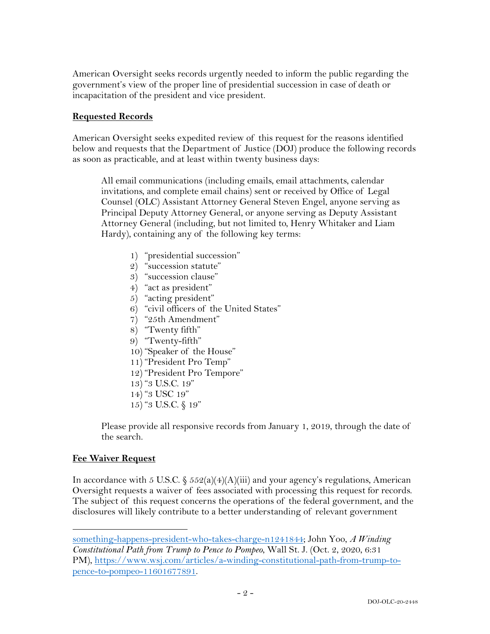American Oversight seeks records urgently needed to inform the public regarding the government's view of the proper line of presidential succession in case of death or incapacitation of the president and vice president.

### **Requested Records**

American Oversight seeks expedited review of this request for the reasons identified below and requests that the Department of Justice (DOJ) produce the following records as soon as practicable, and at least within twenty business days:

All email communications (including emails, email attachments, calendar invitations, and complete email chains) sent or received by Office of Legal Counsel (OLC) Assistant Attorney General Steven Engel, anyone serving as Principal Deputy Attorney General, or anyone serving as Deputy Assistant Attorney General (including, but not limited to, Henry Whitaker and Liam Hardy), containing any of the following key terms:

- 1) "presidential succession"
- 2) "succession statute"
- 3) "succession clause"
- 4) "act as president"
- 5) "acting president"
- 6) "civil officers of the United States"
- 7) "25th Amendment"
- 8) "Twenty fifth"
- 9) "Twenty-fifth"
- 10) "Speaker of the House"
- 11) "President Pro Temp"
- 12) "President Pro Tempore"
- 13) "3 U.S.C. 19"
- 14) "3 USC 19"
- 15) "3 U.S.C. § 19"

Please provide all responsive records from January 1, 2019, through the date of the search.

#### **Fee Waiver Request**

In accordance with 5 U.S.C. §  $552(a)(4)(A)(iii)$  and your agency's regulations, American Oversight requests a waiver of fees associated with processing this request for records. The subject of this request concerns the operations of the federal government, and the disclosures will likely contribute to a better understanding of relevant government

something-happens-president-who-takes-charge-n1241844; John Yoo, *A Winding Constitutional Path from Trump to Pence to Pompeo*, Wall St. J. (Oct. 2, 2020, 6:31 PM), https://www.wsj.com/articles/a-winding-constitutional-path-from-trump-topence-to-pompeo-11601677891.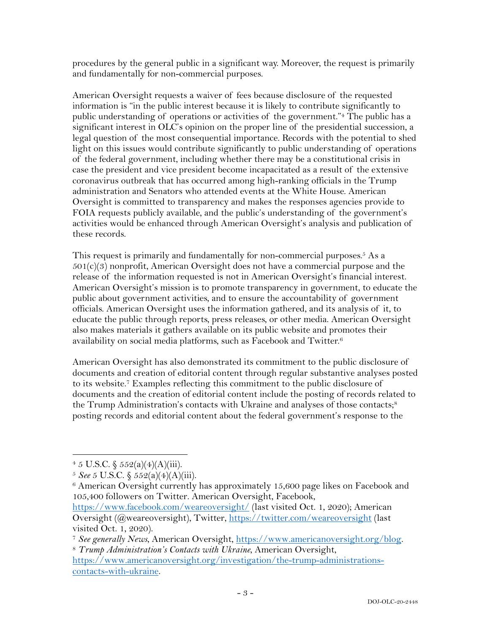procedures by the general public in a significant way. Moreover, the request is primarily and fundamentally for non-commercial purposes.

American Oversight requests a waiver of fees because disclosure of the requested information is "in the public interest because it is likely to contribute significantly to public understanding of operations or activities of the government."4 The public has a significant interest in OLC's opinion on the proper line of the presidential succession, a legal question of the most consequential importance. Records with the potential to shed light on this issues would contribute significantly to public understanding of operations of the federal government, including whether there may be a constitutional crisis in case the president and vice president become incapacitated as a result of the extensive coronavirus outbreak that has occurred among high-ranking officials in the Trump administration and Senators who attended events at the White House. American Oversight is committed to transparency and makes the responses agencies provide to FOIA requests publicly available, and the public's understanding of the government's activities would be enhanced through American Oversight's analysis and publication of these records.

This request is primarily and fundamentally for non-commercial purposes.<sup>5</sup> As a  $501(c)(3)$  nonprofit, American Oversight does not have a commercial purpose and the release of the information requested is not in American Oversight's financial interest. American Oversight's mission is to promote transparency in government, to educate the public about government activities, and to ensure the accountability of government officials. American Oversight uses the information gathered, and its analysis of it, to educate the public through reports, press releases, or other media. American Oversight also makes materials it gathers available on its public website and promotes their availability on social media platforms, such as Facebook and Twitter.6

American Oversight has also demonstrated its commitment to the public disclosure of documents and creation of editorial content through regular substantive analyses posted to its website.7 Examples reflecting this commitment to the public disclosure of documents and the creation of editorial content include the posting of records related to the Trump Administration's contacts with Ukraine and analyses of those contacts;<sup>8</sup> posting records and editorial content about the federal government's response to the

 $4\,5$  U.S.C.  $\frac{552(a)(4)(A)(iii)}{2}$ .

<sup>5</sup> *See* 5 U.S.C. § 552(a)(4)(A)(iii).

 $6$  American Oversight currently has approximately 15,600 page likes on Facebook and 105,400 followers on Twitter. American Oversight, Facebook,

https://www.facebook.com/weareoversight/ (last visited Oct. 1, 2020); American Oversight (@weareoversight), Twitter, https://twitter.com/weareoversight (last visited Oct. 1, 2020).

<sup>7</sup> *See generally News*, American Oversight, https://www.americanoversight.org/blog. 8 *Trump Administration's Contacts with Ukraine*, American Oversight,

https://www.americanoversight.org/investigation/the-trump-administrationscontacts-with-ukraine.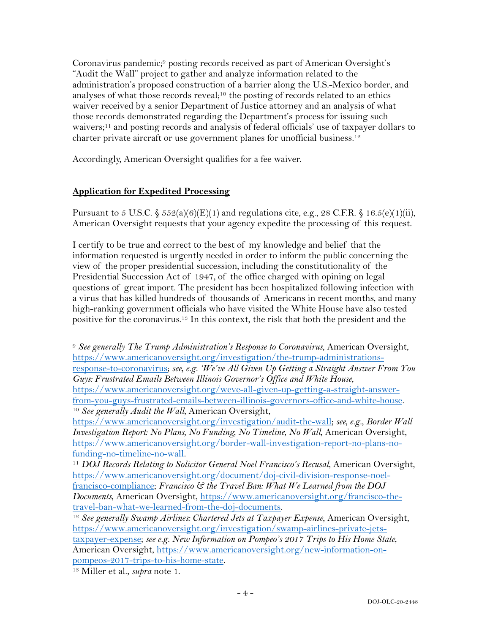Coronavirus pandemic;9 posting records received as part of American Oversight's "Audit the Wall" project to gather and analyze information related to the administration's proposed construction of a barrier along the U.S.-Mexico border, and analyses of what those records reveal;<sup>10</sup> the posting of records related to an ethics waiver received by a senior Department of Justice attorney and an analysis of what those records demonstrated regarding the Department's process for issuing such waivers;<sup>11</sup> and posting records and analysis of federal officials' use of taxpayer dollars to charter private aircraft or use government planes for unofficial business.12

Accordingly, American Oversight qualifies for a fee waiver.

# **Application for Expedited Processing**

Pursuant to 5 U.S.C.  $\$ 552(a)(6)(E)(1)$  and regulations cite, e.g., 28 C.F.R.  $\$ 16.5(e)(1)(ii)$ , American Oversight requests that your agency expedite the processing of this request.

I certify to be true and correct to the best of my knowledge and belief that the information requested is urgently needed in order to inform the public concerning the view of the proper presidential succession, including the constitutionality of the Presidential Succession Act of 1947, of the office charged with opining on legal questions of great import. The president has been hospitalized following infection with a virus that has killed hundreds of thousands of Americans in recent months, and many high-ranking government officials who have visited the White House have also tested positive for the coronavirus.13 In this context, the risk that both the president and the

<sup>9</sup> *See generally The Trump Administration's Response to Coronavirus*, American Oversight, https://www.americanoversight.org/investigation/the-trump-administrations-

response-to-coronavirus; *see, e.g. 'We've All Given Up Getting a Straight Answer From You Guys: Frustrated Emails Between Illinois Governor's Office and White House*, https://www.americanoversight.org/weve-all-given-up-getting-a-straight-answer-

from-you-guys-frustrated-emails-between-illinois-governors-office-and-white-house. 10 *See generally Audit the Wall*, American Oversight,

https://www.americanoversight.org/investigation/audit-the-wall; *see, e.g.*, *Border Wall Investigation Report: No Plans, No Funding, No Timeline, No Wall*, American Oversight, https://www.americanoversight.org/border-wall-investigation-report-no-plans-no-

funding-no-timeline-no-wall. 11 *DOJ Records Relating to Solicitor General Noel Francisco's Recusal*, American Oversight, https://www.americanoversight.org/document/doj-civil-division-response-noelfrancisco-compliance; *Francisco & the Travel Ban: What We Learned from the DOJ Documents*, American Oversight, https://www.americanoversight.org/francisco-thetravel-ban-what-we-learned-from-the-doj-documents.

<sup>&</sup>lt;sup>12</sup> See generally Swamp Airlines: Chartered Jets at Taxpayer Expense, American Oversight, https://www.americanoversight.org/investigation/swamp-airlines-private-jets-

taxpayer-expense; *see e.g. New Information on Pompeo's 2017 Trips to His Home State*, American Oversight, https://www.americanoversight.org/new-information-onpompeos-2017-trips-to-his-home-state.

<sup>13</sup> Miller et al., *supra* note 1.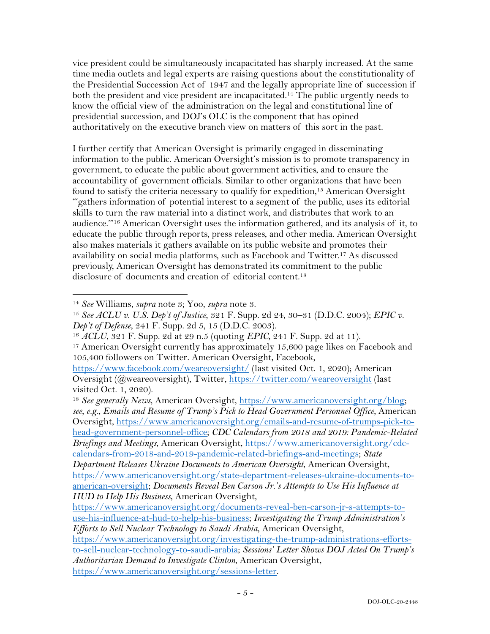vice president could be simultaneously incapacitated has sharply increased. At the same time media outlets and legal experts are raising questions about the constitutionality of the Presidential Succession Act of 1947 and the legally appropriate line of succession if both the president and vice president are incapacitated.<sup>14</sup> The public urgently needs to know the official view of the administration on the legal and constitutional line of presidential succession, and DOJ's OLC is the component that has opined authoritatively on the executive branch view on matters of this sort in the past.

I further certify that American Oversight is primarily engaged in disseminating information to the public. American Oversight's mission is to promote transparency in government, to educate the public about government activities, and to ensure the accountability of government officials. Similar to other organizations that have been found to satisfy the criteria necessary to qualify for expedition,15 American Oversight "'gathers information of potential interest to a segment of the public, uses its editorial skills to turn the raw material into a distinct work, and distributes that work to an audience.'"16 American Oversight uses the information gathered, and its analysis of it, to educate the public through reports, press releases, and other media. American Oversight also makes materials it gathers available on its public website and promotes their availability on social media platforms, such as Facebook and Twitter.17 As discussed previously, American Oversight has demonstrated its commitment to the public disclosure of documents and creation of editorial content.18

<sup>18</sup> *See generally News*, American Oversight, https://www.americanoversight.org/blog; *see*, *e.g.*, *Emails and Resume of Trump's Pick to Head Government Personnel Office*, American Oversight, https://www.americanoversight.org/emails-and-resume-of-trumps-pick-tohead-government-personnel-office; *CDC Calendars from 2018 and 2019: Pandemic-Related Briefings and Meetings*, American Oversight, https://www.americanoversight.org/cdccalendars-from-2018-and-2019-pandemic-related-briefings-and-meetings; *State Department Releases Ukraine Documents to American Oversight*, American Oversight,

<sup>14</sup> *See* Williams, *supra* note 3; Yoo, *supra* note 3.

<sup>15</sup> *See ACLU v. U.S. Dep't of Justice*, 321 F. Supp. 2d 24, 30–31 (D.D.C. 2004); *EPIC v. Dep't of Defense*, 241 F. Supp. 2d 5, 15 (D.D.C. 2003).

<sup>16</sup> *ACLU*, 321 F. Supp. 2d at 29 n.5 (quoting *EPIC*, 241 F. Supp. 2d at 11).

<sup>&</sup>lt;sup>17</sup> American Oversight currently has approximately 15,600 page likes on Facebook and 105,400 followers on Twitter. American Oversight, Facebook,

https://www.facebook.com/weareoversight/ (last visited Oct. 1, 2020); American Oversight (@weareoversight), Twitter, https://twitter.com/weareoversight (last visited Oct. 1, 2020).

https://www.americanoversight.org/state-department-releases-ukraine-documents-toamerican-oversight; *Documents Reveal Ben Carson Jr.'s Attempts to Use His Influence at HUD to Help His Business*, American Oversight,

https://www.americanoversight.org/documents-reveal-ben-carson-jr-s-attempts-touse-his-influence-at-hud-to-help-his-business; *Investigating the Trump Administration's Efforts to Sell Nuclear Technology to Saudi Arabia*, American Oversight,

https://www.americanoversight.org/investigating-the-trump-administrations-effortsto-sell-nuclear-technology-to-saudi-arabia; *Sessions' Letter Shows DOJ Acted On Trump's Authoritarian Demand to Investigate Clinton*, American Oversight, https://www.americanoversight.org/sessions-letter.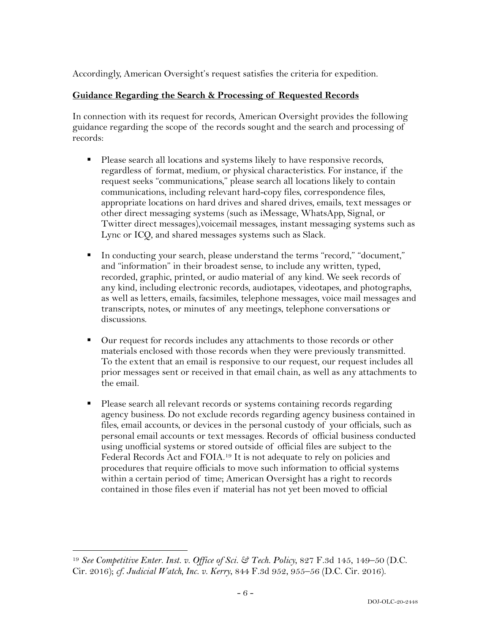Accordingly, American Oversight's request satisfies the criteria for expedition.

### **Guidance Regarding the Search & Processing of Requested Records**

In connection with its request for records, American Oversight provides the following guidance regarding the scope of the records sought and the search and processing of records:

- Please search all locations and systems likely to have responsive records, regardless of format, medium, or physical characteristics. For instance, if the request seeks "communications," please search all locations likely to contain communications, including relevant hard-copy files, correspondence files, appropriate locations on hard drives and shared drives, emails, text messages or other direct messaging systems (such as iMessage, WhatsApp, Signal, or Twitter direct messages),voicemail messages, instant messaging systems such as Lync or ICQ, and shared messages systems such as Slack.
- § In conducting your search, please understand the terms "record," "document," and "information" in their broadest sense, to include any written, typed, recorded, graphic, printed, or audio material of any kind. We seek records of any kind, including electronic records, audiotapes, videotapes, and photographs, as well as letters, emails, facsimiles, telephone messages, voice mail messages and transcripts, notes, or minutes of any meetings, telephone conversations or discussions.
- Our request for records includes any attachments to those records or other materials enclosed with those records when they were previously transmitted. To the extent that an email is responsive to our request, our request includes all prior messages sent or received in that email chain, as well as any attachments to the email.
- Please search all relevant records or systems containing records regarding agency business. Do not exclude records regarding agency business contained in files, email accounts, or devices in the personal custody of your officials, such as personal email accounts or text messages. Records of official business conducted using unofficial systems or stored outside of official files are subject to the Federal Records Act and FOIA.19 It is not adequate to rely on policies and procedures that require officials to move such information to official systems within a certain period of time; American Oversight has a right to records contained in those files even if material has not yet been moved to official

<sup>19</sup> *See Competitive Enter. Inst. v. Office of Sci. & Tech. Policy*, 827 F.3d 145, 149–50 (D.C. Cir. 2016); *cf. Judicial Watch, Inc. v. Kerry*, 844 F.3d 952, 955–56 (D.C. Cir. 2016).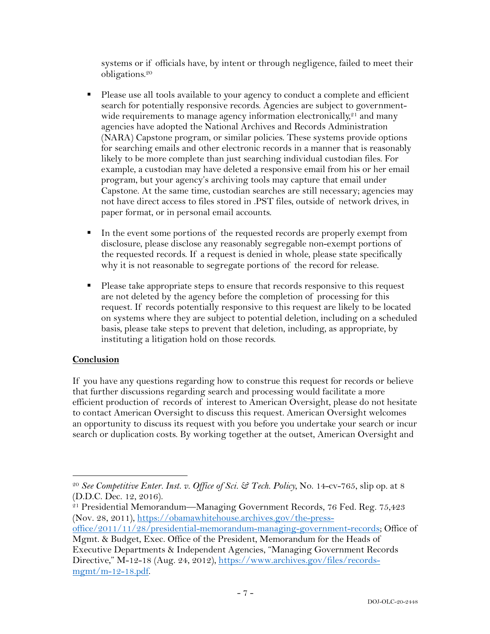systems or if officials have, by intent or through negligence, failed to meet their obligations.20

- Please use all tools available to your agency to conduct a complete and efficient search for potentially responsive records. Agencies are subject to governmentwide requirements to manage agency information electronically, $2<sup>1</sup>$  and many agencies have adopted the National Archives and Records Administration (NARA) Capstone program, or similar policies. These systems provide options for searching emails and other electronic records in a manner that is reasonably likely to be more complete than just searching individual custodian files. For example, a custodian may have deleted a responsive email from his or her email program, but your agency's archiving tools may capture that email under Capstone. At the same time, custodian searches are still necessary; agencies may not have direct access to files stored in .PST files, outside of network drives, in paper format, or in personal email accounts.
- In the event some portions of the requested records are properly exempt from disclosure, please disclose any reasonably segregable non-exempt portions of the requested records. If a request is denied in whole, please state specifically why it is not reasonable to segregate portions of the record for release.
- Please take appropriate steps to ensure that records responsive to this request are not deleted by the agency before the completion of processing for this request. If records potentially responsive to this request are likely to be located on systems where they are subject to potential deletion, including on a scheduled basis, please take steps to prevent that deletion, including, as appropriate, by instituting a litigation hold on those records.

### **Conclusion**

If you have any questions regarding how to construe this request for records or believe that further discussions regarding search and processing would facilitate a more efficient production of records of interest to American Oversight, please do not hesitate to contact American Oversight to discuss this request. American Oversight welcomes an opportunity to discuss its request with you before you undertake your search or incur search or duplication costs. By working together at the outset, American Oversight and

<sup>20</sup> *See Competitive Enter. Inst. v. Office of Sci. & Tech. Policy*, No. 14-cv-765, slip op. at 8 (D.D.C. Dec. 12, 2016).

<sup>&</sup>lt;sup>21</sup> Presidential Memorandum—Managing Government Records, 76 Fed. Reg. 75,423 (Nov. 28, 2011), https://obamawhitehouse.archives.gov/the-press-

office/2011/11/28/presidential-memorandum-managing-government-records; Office of Mgmt. & Budget, Exec. Office of the President, Memorandum for the Heads of

Executive Departments & Independent Agencies, "Managing Government Records Directive," M-12-18 (Aug. 24, 2012), https://www.archives.gov/files/recordsmgmt/m-12-18.pdf.